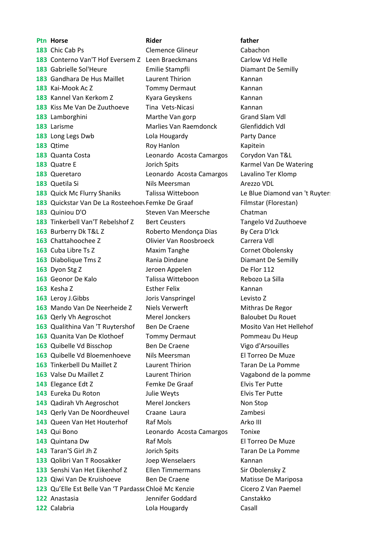**Ptn Horse Rider father** Chic Cab Ps Clemence Glineur Cabachon Conterno Van'T Hof Eversem Z Leen Braeckmans Carlow Vd Helle Gabrielle Sol'Heure Emilie Stampfli Diamant De Semilly Gandhara De Hus Maillet Laurent Thirion Kannan Kai-Mook Ac Z **Tommy Dermaut** Kannan Kannel Van Kerkom Z Kyara Geyskens Kannan Kiss Me Van De Zuuthoeve Tina Vets-Nicasi Kannan Lamborghini **Marthe Van gorp** Grand Slam Vdl Larisme Marlies Van Raemdonck Glenfiddich Vdl Long Legs Dwb **Lola Hougardy** Party Dance Qtime **Roy Hanlon** Roy Hanlon Kapitein Quanta Costa Leonardo Acosta Camargos Corydon Van T&L Quatre E **Ionia American Spits** *Lemange Carrel Van De Watering*  Queretaro Leonardo Acosta Camargos Lavalino Ter Klomp Quetila Si **Nils Meersman** Arezzo VDL Quick Mc Flurry Shaniks Talissa Witteboon Le Blue Diamond van 't Ruytershoff Quickstar Van De La Rosteehoev Femke De Graaf Filmstar (Florestan) Quiniou D'O Steven Van Meersche Chatman 183 Tinkerbell Van'T Rebelshof Z Bert Ceusters Tangelo Vd Zuuthoeve Burberry Dk T&L Z Roberto Mendonça Dias By Cera D'Ick Chattahoochee Z Olivier Van Roosbroeck Carrera Vdl Cuba Libre Ts Z **Maxim Tanghe** Cornet Obolensky Diabolique Tms Z **Rania Dindane Diamant De Semilly**  Dyon Stg Z Jeroen Appelen De Flor 112 Geonor De Kalo Talissa Witteboon Rebozo La Silla Kesha Z **Esther Felix** Esther Felix Kannan Leroy J.Gibbs **163** Leroy J.Gibbs **Joris Vanspringel** Levisto Z Mando Van De Neerheide Z Niels Verwerft Mithras De Regor Qerly Vh Aegroschot Merel Jonckers Baloubet Du Rouet Qualithina Van 'T Ruytershof Ben De Craene Mosito Van Het Hellehof Quanita Van De Klothoef Tommy Dermaut Pommeau Du Heup Quibelle Vd Bisschop Ben De Craene Vigo d'Arsouilles Quibelle Vd Bloemenhoeve Nils Meersman El Torreo De Muze Tinkerbell Du Maillet Z Laurent Thirion Taran De La Pomme Valse Du Maillet Z Laurent Thirion Vagabond de la pomme 143 Elegance Edt Z Femke De Graaf Elvis Ter Putte Eureka Du Roton **143** Eureka Du Roton **Julie Weyts Elvis Ter Putte**  Qadirah Vh Aegroschot Merel Jonckers Non Stop Qerly Van De Noordheuvel Craane Laura **Zambesi**  Queen Van Het Houterhof Raf Mols **Arko III** Arko III 143 Qui Bono **Leonardo Acosta Camargos** Tonixe Quintana Dw Raf Mols **El Torreo De Muze**  Taran'S Girl Jh Z Jorich Spits Taran De La Pomme Qolibri Van T Roosakker Joep Wenselaers Kannan 133 Senshi Van Het Eikenhof Z Ellen Timmermans Sir Obolensky Z Qiwi Van De Kruishoeve Ben De Craene Matisse De Mariposa Qu'Elle Est Belle Van 'T Pardasse Chloë Mc Kenzie Cicero Z Van Paemel Anastasia Jennifer Goddard Canstakko Calabria **122** Casall Lola Hougardy Casall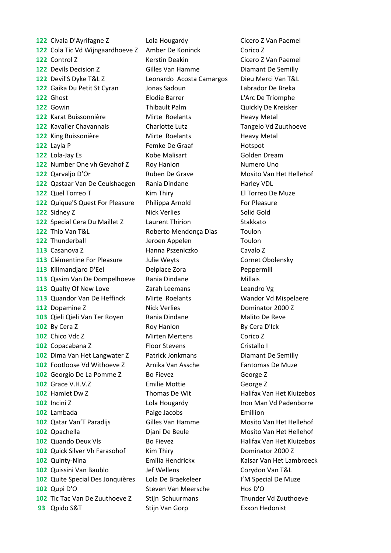Civala D'Ayrifagne Z Lola Hougardy Cicero Z Van Paemel Cola Tic Vd Wijngaardhoeve Z Amber De Koninck Corico Z Control Z **Kerstin Deakin** Cicero Z Van Paemel Devils Decision Z **Gilles Van Hamme** Diamant De Semilly Devil'S Dyke T&L Z Leonardo Acosta Camargos Dieu Merci Van T&L Gaika Du Petit St Cyran Jonas Sadoun Labrador De Breka Ghost Elodie Barrer L'Arc De Triomphe Gowin **122** Gowin **Thibault Palm** Quickly De Kreisker 122 Karat Buissonnière **Mirte Roelants** Heavy Metal Kavalier Chavannais **Charlotte Lutz** Tangelo Vd Zuuthoeve King Buissonière **Mirte Roelants** Heavy Metal Layla P **Femke De Graaf** Hotspot Lola-Jay Es **Collation Collation Collation** Kobe Malisart **Collation Collation Collation** Golden Dream Number One vh Gevahof Z Roy Hanlon Numero Uno Qarvaljo D'Or Ruben De Grave Mosito Van Het Hellehof Qastaar Van De Ceulshaegen Rania Dindane Harley VDL Quel Torreo T **Kim Thiry** El Torreo De Muze Quique'S Quest For Pleasure Philippa Arnold For Pleasure Sidney Z Nick Verlies Solid Gold Special Cera Du Maillet Z Laurent Thirion Stakkato Thio Van T&L **Roberto Mendonça Dias** Toulon Thunderball **122** Thunderball Jeroen Appelen Toulon Casanova Z Hanna Pszeniczko Cavalo Z Clémentine For Pleasure Julie Weyts Cornet Obolensky 113 Kilimandjaro D'Eel Delplace Zora Peppermill Qasim Van De Dompelhoeve Rania Dindane Millais 113 Qualty Of New Love **Zarah Leemans** Leandro Vg Quandor Van De Heffinck Mirte Roelants Wandor Vd Mispelaere Dopamine Z **Nick Verlies** Dominator 2000 Z Qieli Qieli Van Ter Royen Rania Dindane Malito De Reve By Cera Z Roy Hanlon By Cera D'Ick Chico Vdc Z **Mirten Mertens** Corico Z Copacabana Z **Floor Stevens** Cristallo I Dima Van Het Langwater Z Patrick Jonkmans Diamant De Semilly Footloose Vd Withoeve Z Arnika Van Assche Fantomas De Muze Georgio De La Pomme Z Bo Fievez **Bo Field Contained Boots** George Z Grace V.H.V.Z Emilie Mottie George Z Hamlet Dw Z Thomas De Wit Halifax Van Het Kluizebos Incini Z **Lola Hougardy** Iron Man Vd Padenborre Lambada **Paige Jacobs** Emillion Qatar Van'T Paradijs Gilles Van Hamme Mosito Van Het Hellehof Qoachella **Diani De Beule** Mosito Van Het Hellehof Quando Deux VIs **Bo Fievez Halifax Van Het Kluizebos Halifax Van Het Kluizebos**  Quick Silver Vh Farasohof Kim Thiry Kim Thirus Dominator 2000 Z Quinty-Nina Emilia Hendrickx Kaisar Van Het Lambroeck Quissini Van Baublo Jef Wellens Corydon Van T&L 102 Quite Special Des Jonquières Lola De Braekeleer I'M Special De Muze Qupi D'O Steven Van Meersche Hos D'O Tic Tac Van De Zuuthoeve Z Stijn Schuurmans Thunder Vd Zuuthoeve Qpido S&T Stijn Van Gorp Exxon Hedonist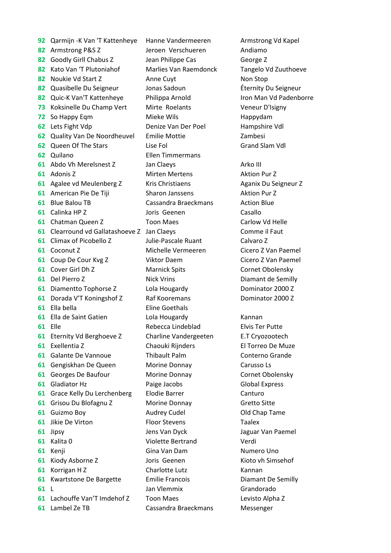Qarmijn -K Van 'T Kattenheye Hanne Vandermeeren Armstrong Vd Kapel 82 Armstrong P&S Z Manual Parcen Verschueren Andiamo 82 Goodly Girll Chabus Z Jean Philippe Cas George Z Kato Van 'T Plutoniahof Marlies Van Raemdonck Tangelo Vd Zuuthoeve Noukie Vd Start Z **Anne Cuyt** Anne Cuyt Non Stop Quasibelle Du Seigneur Jonas Sadoun Éternity Du Seigneur Quic-K Van'T Kattenheye Philippa Arnold Iron Man Vd Padenborre Koksinelle Du Champ Vert Mirte Roelants Veneur D'Isigny So Happy Eqm **Mieke Wils** Happydam Lets Fight Vdp **Denize Van Der Poel** Hampshire Vdl Quality Van De Noordheuvel Emilie Mottie Zambesi Queen Of The Stars **Lise Foll Communist Communist Communist Communist Communist Communist Communist Communist Communist Communist Communist Communist Communist Communist Communist Communist Communist Communist Communi**  Quilano Ellen Timmermans Abdo Vh Merelsnest Z Jan Claeys **Arko III** Arko III Adonis Z Mirten Mertens Aktion Pur Z Agalee vd Meulenberg Z Kris Christiaens **Aganix Du Seigneur Z**  American Pie De Tiji Sharon Janssens Aktion Pur Z Blue Balou TB Cassandra Braeckmans Action Blue Calinka HP Z Joris Geenen Casallo Chatman Queen Z Toon Maes Carlow Vd Helle Clearround vd Gallatashoeve Z Jan Claeys Comme il Faut Climax of Picobello Z Julie-Pascale Ruant Calvaro Z Coconut Z **Michelle Vermeeren** Cicero Z Van Paemel Coup De Cour Kvg Z **Viktor Daem** Cicero Z Van Paemel Cover Girl Dh Z Marnick Spits Cornet Obolensky Del Pierro Z **Nick Vrins Diamant de Semilly**  Diamentto Tophorse Z Lola Hougardy Dominator 2000 Z Dorada V'T Koningshof Z Raf Kooremans **Dominator 2000 Z**  Ella bella **Eline** Eline Goethals Ella de Saint Gatien **Lola Hougardy** Kannan Elle **Rebecca Lindeblad** Elvis Ter Putte Eternity Vd Berghoeve Z Charline Vandergeeten E.T Cryozootech Exellentia Z Chaouki Rijnders El Torreo De Muze Galante De Vannoue **Thibault Palm** Conterno Grande Gengiskhan De Queen Morine Donnay Carusso Ls Georges De Baufour Morine Donnay Cornet Obolensky Gladiator Hz **Paige Jacobs** Global Express Grace Kelly Du Lerchenberg Elodie Barrer Canturo Grisou Du Blofagnu Z Morine Donnay Gretto Sitte Guizmo Boy **Audrey Cudel Club Cold Chap Tame**  Jikie De Virton **Floor Stevens** Taalex Jipsy Jens Van Dyck Jaguar Van Paemel Kalita 0 **Violette Bertrand** Verdi Kenji **Gina Van Dam** Numero Uno Kiody Asborne Z **Joris Geenen** Kioto vh Simsehof Korrigan H Z Charlotte Lutz Kannan Kwartstone De Bargette Emilie Francois **Emilie Emilie Belle Communist** Diamant De Semilly L Jan Vlemmix Grandorado Lachouffe Van'T Imdehof Z Toon Maes Levisto Alpha Z Lambel Ze TB Cassandra Braeckmans Messenger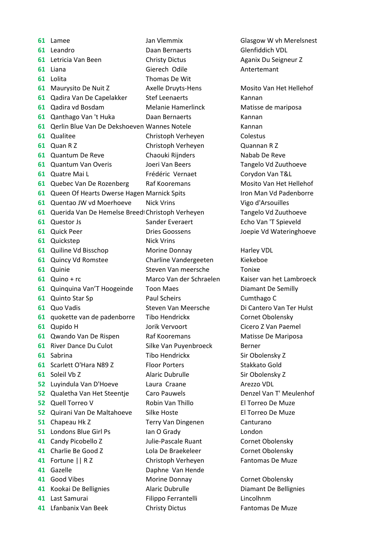|    | 61 Lamee                                           | Jan Vlemmix               | Glasgow W vh Merelsnest  |
|----|----------------------------------------------------|---------------------------|--------------------------|
|    | 61 Leandro                                         | Daan Bernaerts            | Glenfiddich VDL          |
|    | 61 Letricia Van Been                               | <b>Christy Dictus</b>     | Aganix Du Seigneur Z     |
|    | 61 Liana                                           | Gierech Odile             | Antertemant              |
|    | 61 Lolita                                          | Thomas De Wit             |                          |
|    | 61 Maurysito De Nuit Z                             | <b>Axelle Druyts-Hens</b> | Mosito Van Het Hellehof  |
| 61 | Qadira Van De Capelakker                           | <b>Stef Leenaerts</b>     | Kannan                   |
| 61 | Qadira vd Bosdam                                   | <b>Melanie Hamerlinck</b> | Matisse de mariposa      |
|    | 61 Qanthago Van 't Huka                            | Daan Bernaerts            | Kannan                   |
|    | 61 Qerlin Blue Van De Dekshoeven Wannes Notele     |                           | Kannan                   |
|    | 61 Qualitee                                        | Christoph Verheyen        | Colestus                 |
|    | 61 Quan R Z                                        | Christoph Verheyen        | Quannan R Z              |
| 61 | Quantum De Reve                                    | Chaouki Rijnders          | Nabab De Reve            |
|    | 61 Quantum Van Overis                              | Joeri Van Beers           | Tangelo Vd Zuuthoeve     |
|    | 61 Quatre Mai L                                    | Frédéric Vernaet          | Corydon Van T&L          |
|    | 61 Quebec Van De Rozenberg                         | Raf Kooremans             | Mosito Van Het Hellehof  |
|    | 61 Queen Of Hearts Dwerse Hagen Marnick Spits      |                           | Iron Man Vd Padenborre   |
|    | 61 Quentao JW vd Moerhoeve                         | <b>Nick Vrins</b>         | Vigo d'Arsouilles        |
|    | 61 Querida Van De Hemelse Breed Christoph Verheyen |                           | Tangelo Vd Zuuthoeve     |
|    | 61 Questor Js                                      | Sander Everaert           | Echo Van 'T Spieveld     |
|    | 61 Quick Peer                                      | <b>Dries Goossens</b>     | Joepie Vd Wateringhoeve  |
| 61 | Quickstep                                          | <b>Nick Vrins</b>         |                          |
|    | 61 Quiline Vd Bisschop                             | Morine Donnay             | Harley VDL               |
|    | 61 Quincy Vd Romstee                               | Charline Vandergeeten     | Kiekeboe                 |
| 61 | Quinie                                             | Steven Van meersche       | Tonixe                   |
| 61 | Quino + rc                                         | Marco Van der Schraelen   | Kaiser van het Lambroeck |
| 61 | Quinquina Van'T Hoogeinde                          | <b>Toon Maes</b>          | Diamant De Semilly       |
|    | 61 Quinto Star Sp                                  | <b>Paul Scheirs</b>       | Cumthago C               |
|    | 61 Quo Vadis                                       | Steven Van Meersche       | Di Cantero Van Ter Hulst |
| 61 | quokette van de padenborre                         | Tibo Hendrickx            | Cornet Obolensky         |
| 61 | Qupido H                                           | Jorik Vervoort            | Cicero Z Van Paemel      |
|    | 61 Qwando Van De Rispen                            | Raf Kooremans             | Matisse De Mariposa      |
| 61 | River Dance Du Culot                               | Silke Van Puyenbroeck     | Berner                   |
| 61 | Sabrina                                            | Tibo Hendrickx            | Sir Obolensky Z          |
| 61 | Scarlett O'Hara N89 Z                              | <b>Floor Porters</b>      | Stakkato Gold            |
|    | 61 Soleil Vb Z                                     | <b>Alaric Dubrulle</b>    | Sir Obolensky Z          |
| 52 | Luyindula Van D'Hoeve                              | Laura Craane              | Arezzo VDL               |
| 52 | Qualetha Van Het Steentje                          | Caro Pauwels              | Denzel Van T' Meulenhof  |
| 52 | Quell Torreo V                                     | Robin Van Thillo          | El Torreo De Muze        |
|    | 52 Quirani Van De Maltahoeve                       | Silke Hoste               | El Torreo De Muze        |
| 51 | Chapeau Hk Z                                       | Terry Van Dingenen        | Canturano                |
| 51 | Londons Blue Girl Ps                               | Ian O Grady               | London                   |
| 41 | Candy Picobello Z                                  | Julie-Pascale Ruant       | Cornet Obolensky         |
| 41 | Charlie Be Good Z                                  | Lola De Braekeleer        | Cornet Obolensky         |
|    | 41 Fortune     R Z                                 | Christoph Verheyen        | <b>Fantomas De Muze</b>  |
| 41 | Gazelle                                            | Daphne Van Hende          |                          |
| 41 | Good Vibes                                         | Morine Donnay             | Cornet Obolensky         |
| 41 | Kookai De Bellignies                               | <b>Alaric Dubrulle</b>    | Diamant De Bellignies    |
| 41 | Last Samurai                                       | Filippo Ferrantelli       | Lincolhnm                |
|    | 41 Lfanbanix Van Beek                              | <b>Christy Dictus</b>     | Fantomas De Muze         |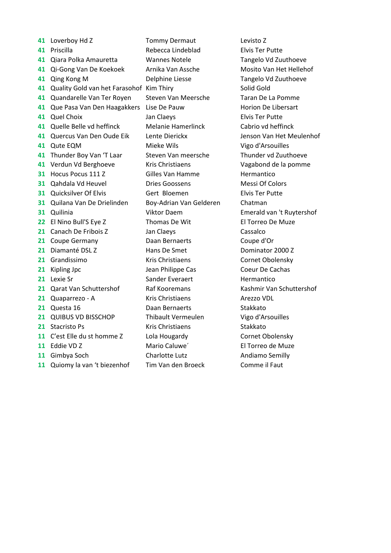Loverboy Hd Z Tommy Dermaut Levisto Z Priscilla Rebecca Lindeblad Elvis Ter Putte Qiara Polka Amauretta Wannes Notele Tangelo Vd Zuuthoeve Qi-Gong Van De Koekoek Arnika Van Assche Mosito Van Het Hellehof Qing Kong M **Delphine Liesse** Tangelo Vd Zuuthoeve Quality Gold van het Farasohof Kim Thiry Solid Gold Quandarelle Van Ter Royen Steven Van Meersche Taran De La Pomme Que Pasa Van Den Haagakkers Lise De Pauw Horion De Libersart Quel Choix Jan Claeys Elvis Ter Putte Quelle Belle vd heffinck Melanie Hamerlinck Cabrio vd heffinck Quercus Van Den Oude Eik Lente Dierickx Jenson Van Het Meulenhof Qute EQM Mieke Wils Vigo d'Arsouilles Thunder Boy Van 'T Laar Steven Van meersche Thunder vd Zuuthoeve Verdun Vd Berghoeve Kris Christiaens Vagabond de la pomme Hocus Pocus 111 Z Gilles Van Hamme Hermantico Qahdala Vd Heuvel **Dries Goossens** Messi Of Colors Quicksilver Of Elvis **Gert Bloemen** Elvis Ter Putte Quilana Van De Drielinden Boy-Adrian Van Gelderen Chatman Quilinia Viktor Daem Emerald van 't Ruytershof El Nino Bull'S Eye Z Thomas De Wit El Torreo De Muze Canach De Fribois Z Jan Claeys Cassalco Coupe Germany **Daan Bernaerts** Coupe d'Or Diamanté DSL Z Hans De Smet Dominator 2000 Z Grandissimo **Kris Christiaens** Cornet Obolensky Kipling Jpc **321 Coeur De Cachas** Jean Philippe Cas Coeur De Cachas Lexie Sr **Sander Everaert** Hermantico Qarat Van Schuttershof Raf Kooremans Kashmir Van Schuttershof Quaparrezo - A **Kris Christiaens** Arezzo VDL Questa 16 **Daan Bernaerts** Stakkato QUIBUS VD BISSCHOP Thibault Vermeulen Vigo d'Arsouilles Stacristo Ps **Kris Christiaens** Stakkato 11 C'est Elle du st homme Z Lola Hougardy Cornet Obolensky Eddie VD Z **Mario Caluwe'** El Torreo de Muze Gimbya Soch **Charlotte Lutz** Andiamo Semilly

Quiomy la van 't biezenhof Tim Van den Broeck Comme il Faut